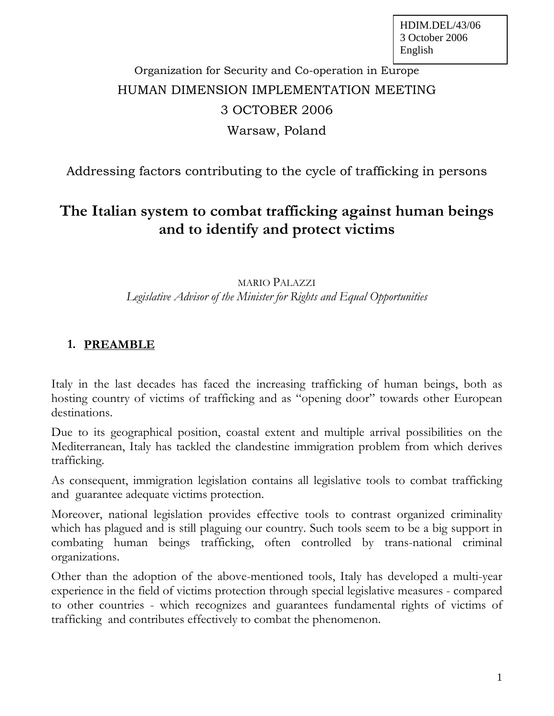# Organization for Security and Co-operation in Europe HUMAN DIMENSION IMPLEMENTATION MEETING 3 OCTOBER 2006 Warsaw, Poland

# Addressing factors contributing to the cycle of trafficking in persons

# **The Italian system to combat trafficking against human beings and to identify and protect victims**

#### MARIO PALAZZI *Legislative Advisor of the Minister for Rights and Equal Opportunities*

## **1. PREAMBLE**

Italy in the last decades has faced the increasing trafficking of human beings, both as hosting country of victims of trafficking and as "opening door" towards other European destinations.

Due to its geographical position, coastal extent and multiple arrival possibilities on the Mediterranean, Italy has tackled the clandestine immigration problem from which derives trafficking.

As consequent, immigration legislation contains all legislative tools to combat trafficking and guarantee adequate victims protection.

Moreover, national legislation provides effective tools to contrast organized criminality which has plagued and is still plaguing our country. Such tools seem to be a big support in combating human beings trafficking, often controlled by trans-national criminal organizations.

Other than the adoption of the above-mentioned tools, Italy has developed a multi-year experience in the field of victims protection through special legislative measures - compared to other countries - which recognizes and guarantees fundamental rights of victims of trafficking and contributes effectively to combat the phenomenon.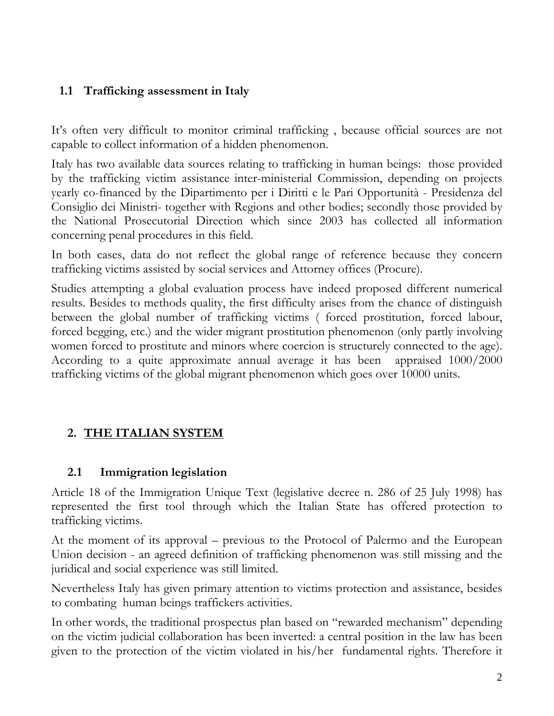## **1.1 Trafficking assessment in Italy**

It's often very difficult to monitor criminal trafficking , because official sources are not capable to collect information of a hidden phenomenon.

Italy has two available data sources relating to trafficking in human beings: those provided by the trafficking victim assistance inter-ministerial Commission, depending on projects yearly co-financed by the Dipartimento per i Diritti e le Pari Opportunità - Presidenza del Consiglio dei Ministri- together with Regions and other bodies; secondly those provided by the National Prosecutorial Direction which since 2003 has collected all information concerning penal procedures in this field.

In both cases, data do not reflect the global range of reference because they concern trafficking victims assisted by social services and Attorney offices (Procure).

Studies attempting a global evaluation process have indeed proposed different numerical results. Besides to methods quality, the first difficulty arises from the chance of distinguish between the global number of trafficking victims ( forced prostitution, forced labour, forced begging, etc.) and the wider migrant prostitution phenomenon (only partly involving women forced to prostitute and minors where coercion is structurely connected to the age). According to a quite approximate annual average it has been appraised 1000/2000 trafficking victims of the global migrant phenomenon which goes over 10000 units.

# **2. THE ITALIAN SYSTEM**

### **2.1 Immigration legislation**

Article 18 of the Immigration Unique Text (legislative decree n. 286 of 25 July 1998) has represented the first tool through which the Italian State has offered protection to trafficking victims.

At the moment of its approval – previous to the Protocol of Palermo and the European Union decision - an agreed definition of trafficking phenomenon was still missing and the juridical and social experience was still limited.

Nevertheless Italy has given primary attention to victims protection and assistance, besides to combating human beings traffickers activities.

In other words, the traditional prospectus plan based on "rewarded mechanism" depending on the victim judicial collaboration has been inverted: a central position in the law has been given to the protection of the victim violated in his/her fundamental rights. Therefore it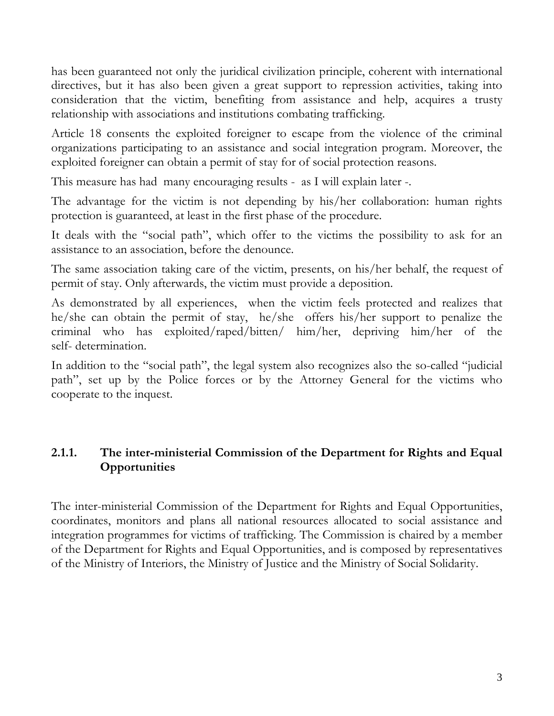has been guaranteed not only the juridical civilization principle, coherent with international directives, but it has also been given a great support to repression activities, taking into consideration that the victim, benefiting from assistance and help, acquires a trusty relationship with associations and institutions combating trafficking.

Article 18 consents the exploited foreigner to escape from the violence of the criminal organizations participating to an assistance and social integration program. Moreover, the exploited foreigner can obtain a permit of stay for of social protection reasons.

This measure has had many encouraging results - as I will explain later -.

The advantage for the victim is not depending by his/her collaboration: human rights protection is guaranteed, at least in the first phase of the procedure.

It deals with the "social path", which offer to the victims the possibility to ask for an assistance to an association, before the denounce.

The same association taking care of the victim, presents, on his/her behalf, the request of permit of stay. Only afterwards, the victim must provide a deposition.

As demonstrated by all experiences, when the victim feels protected and realizes that he/she can obtain the permit of stay, he/she offers his/her support to penalize the criminal who has exploited/raped/bitten/ him/her, depriving him/her of the self- determination.

In addition to the "social path", the legal system also recognizes also the so-called "judicial path", set up by the Police forces or by the Attorney General for the victims who cooperate to the inquest.

### **2.1.1. The inter-ministerial Commission of the Department for Rights and Equal Opportunities**

The inter-ministerial Commission of the Department for Rights and Equal Opportunities, coordinates, monitors and plans all national resources allocated to social assistance and integration programmes for victims of trafficking. The Commission is chaired by a member of the Department for Rights and Equal Opportunities, and is composed by representatives of the Ministry of Interiors, the Ministry of Justice and the Ministry of Social Solidarity.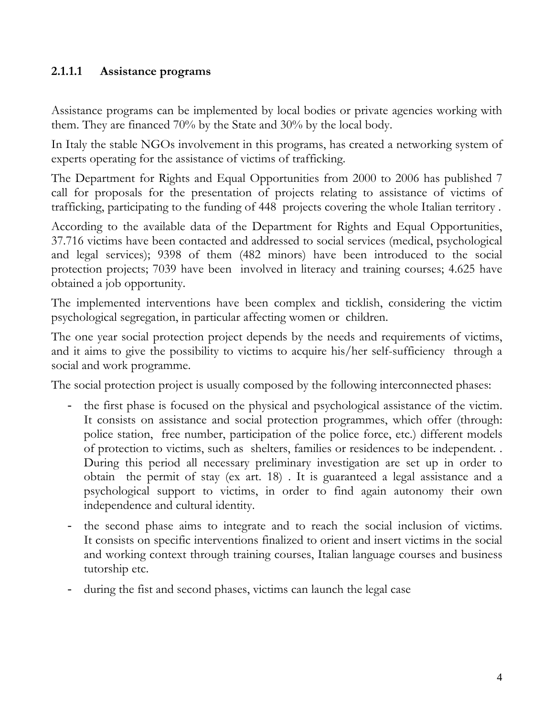#### **2.1.1.1 Assistance programs**

Assistance programs can be implemented by local bodies or private agencies working with them. They are financed 70% by the State and 30% by the local body.

In Italy the stable NGOs involvement in this programs, has created a networking system of experts operating for the assistance of victims of trafficking.

The Department for Rights and Equal Opportunities from 2000 to 2006 has published 7 call for proposals for the presentation of projects relating to assistance of victims of trafficking, participating to the funding of 448 projects covering the whole Italian territory .

According to the available data of the Department for Rights and Equal Opportunities, 37.716 victims have been contacted and addressed to social services (medical, psychological and legal services); 9398 of them (482 minors) have been introduced to the social protection projects; 7039 have been involved in literacy and training courses; 4.625 have obtained a job opportunity.

The implemented interventions have been complex and ticklish, considering the victim psychological segregation, in particular affecting women or children.

The one year social protection project depends by the needs and requirements of victims, and it aims to give the possibility to victims to acquire his/her self-sufficiency through a social and work programme.

The social protection project is usually composed by the following interconnected phases:

- the first phase is focused on the physical and psychological assistance of the victim. It consists on assistance and social protection programmes, which offer (through: police station, free number, participation of the police force, etc.) different models of protection to victims, such as shelters, families or residences to be independent. . During this period all necessary preliminary investigation are set up in order to obtain the permit of stay (ex art. 18) . It is guaranteed a legal assistance and a psychological support to victims, in order to find again autonomy their own independence and cultural identity.
- the second phase aims to integrate and to reach the social inclusion of victims. It consists on specific interventions finalized to orient and insert victims in the social and working context through training courses, Italian language courses and business tutorship etc.
- during the fist and second phases, victims can launch the legal case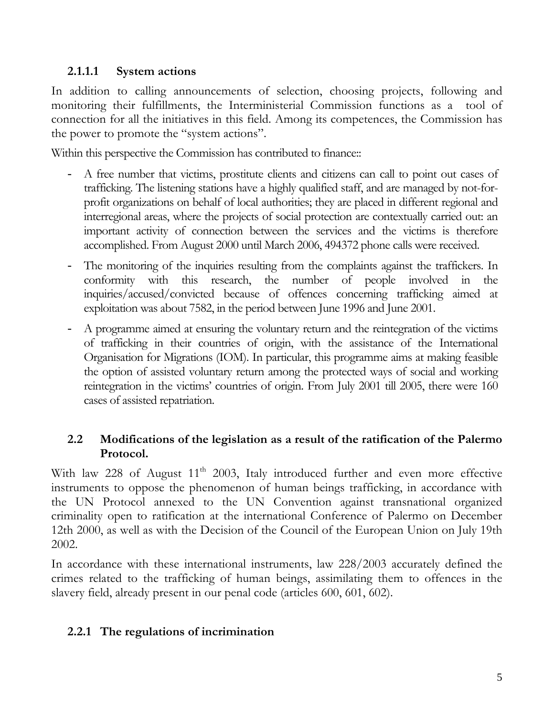#### **2.1.1.1 System actions**

In addition to calling announcements of selection, choosing projects, following and monitoring their fulfillments, the Interministerial Commission functions as a tool of connection for all the initiatives in this field. Among its competences, the Commission has the power to promote the "system actions".

Within this perspective the Commission has contributed to finance::

- A free number that victims, prostitute clients and citizens can call to point out cases of trafficking. The listening stations have a highly qualified staff, and are managed by not-forprofit organizations on behalf of local authorities; they are placed in different regional and interregional areas, where the projects of social protection are contextually carried out: an important activity of connection between the services and the victims is therefore accomplished. From August 2000 until March 2006, 494372 phone calls were received.
- The monitoring of the inquiries resulting from the complaints against the traffickers. In conformity with this research, the number of people involved in the inquiries/accused/convicted because of offences concerning trafficking aimed at exploitation was about 7582, in the period between June 1996 and June 2001.
- A programme aimed at ensuring the voluntary return and the reintegration of the victims of trafficking in their countries of origin, with the assistance of the International Organisation for Migrations (IOM). In particular, this programme aims at making feasible the option of assisted voluntary return among the protected ways of social and working reintegration in the victims' countries of origin. From July 2001 till 2005, there were 160 cases of assisted repatriation.

### **2.2 Modifications of the legislation as a result of the ratification of the Palermo Protocol.**

With law 228 of August  $11<sup>th</sup>$  2003, Italy introduced further and even more effective instruments to oppose the phenomenon of human beings trafficking, in accordance with the UN Protocol annexed to the UN Convention against transnational organized criminality open to ratification at the international Conference of Palermo on December 12th 2000, as well as with the Decision of the Council of the European Union on July 19th 2002.

In accordance with these international instruments, law 228/2003 accurately defined the crimes related to the trafficking of human beings, assimilating them to offences in the slavery field, already present in our penal code (articles 600, 601, 602).

### **2.2.1 The regulations of incrimination**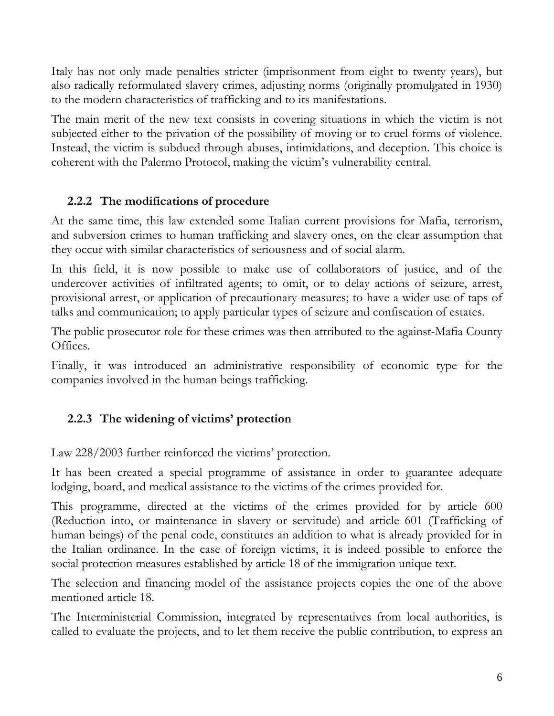Italy has not only made penalties stricter (imprisonment from eight to twenty years), but also radically reformulated slavery crimes, adjusting norms (originally promulgated in 1930) to the modern characteristics of trafficking and to its manifestations.

The main merit of the new text consists in covering situations in which the victim is not subjected either to the privation of the possibility of moving or to cruel forms of violence. Instead, the victim is subdued through abuses, intimidations, and deception. This choice is coherent with the Palermo Protocol, making the victim's vulnerability central.

### **2.2.2 The modifications of procedure**

At the same time, this law extended some Italian current provisions for Mafia, terrorism, and subversion crimes to human trafficking and slavery ones, on the clear assumption that they occur with similar characteristics of seriousness and of social alarm.

In this field, it is now possible to make use of collaborators of justice, and of the undercover activities of infiltrated agents; to omit, or to delay actions of seizure, arrest, provisional arrest, or application of precautionary measures; to have a wider use of taps of talks and communication; to apply particular types of seizure and confiscation of estates.

The public prosecutor role for these crimes was then attributed to the against-Mafia County Offices.

Finally, it was introduced an administrative responsibility of economic type for the companies involved in the human beings trafficking.

# **2.2.3 The widening of victims' protection**

Law 228/2003 further reinforced the victims' protection.

It has been created a special programme of assistance in order to guarantee adequate lodging, board, and medical assistance to the victims of the crimes provided for.

This programme, directed at the victims of the crimes provided for by article 600 (Reduction into, or maintenance in slavery or servitude) and article 601 (Trafficking of human beings) of the penal code, constitutes an addition to what is already provided for in the Italian ordinance. In the case of foreign victims, it is indeed possible to enforce the social protection measures established by article 18 of the immigration unique text.

The selection and financing model of the assistance projects copies the one of the above mentioned article 18.

The Interministerial Commission, integrated by representatives from local authorities, is called to evaluate the projects, and to let them receive the public contribution, to express an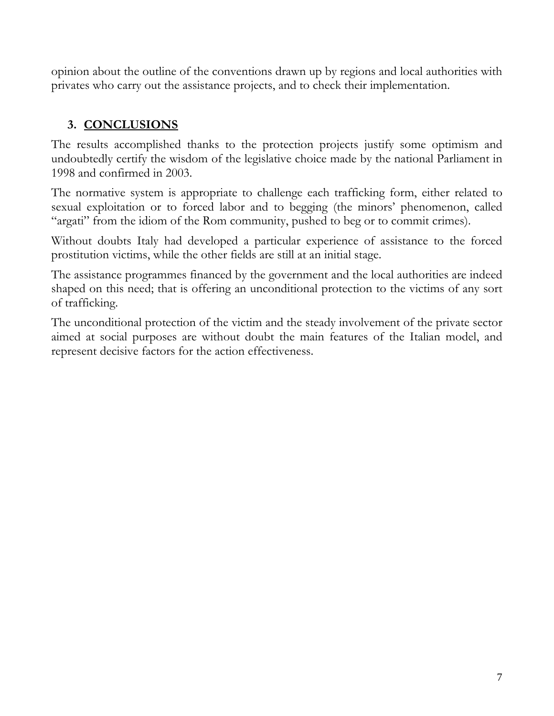opinion about the outline of the conventions drawn up by regions and local authorities with privates who carry out the assistance projects, and to check their implementation.

# **3. CONCLUSIONS**

The results accomplished thanks to the protection projects justify some optimism and undoubtedly certify the wisdom of the legislative choice made by the national Parliament in 1998 and confirmed in 2003.

The normative system is appropriate to challenge each trafficking form, either related to sexual exploitation or to forced labor and to begging (the minors' phenomenon, called "argati" from the idiom of the Rom community, pushed to beg or to commit crimes).

Without doubts Italy had developed a particular experience of assistance to the forced prostitution victims, while the other fields are still at an initial stage.

The assistance programmes financed by the government and the local authorities are indeed shaped on this need; that is offering an unconditional protection to the victims of any sort of trafficking.

The unconditional protection of the victim and the steady involvement of the private sector aimed at social purposes are without doubt the main features of the Italian model, and represent decisive factors for the action effectiveness.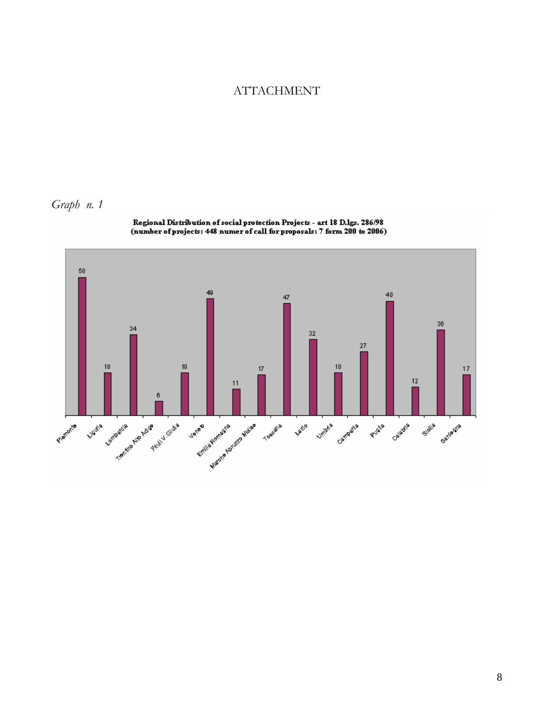#### ATTACHMENT

*Graph n. 1* 



Regional Distribution of social protection Projects - art 18 D.lgs. 286/98<br>(number of projects: 448 numer of call for proposals: 7 form 200 to 2006)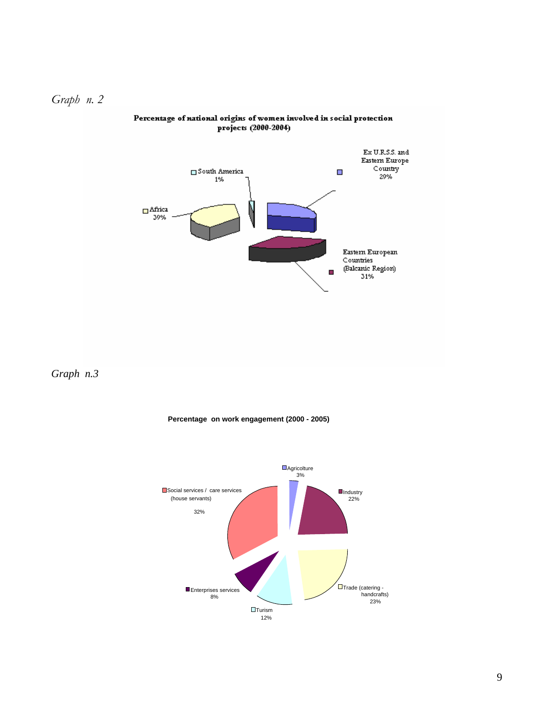



#### Percentage of national origins of women involved in social protection projects (2000-2004)

*Graph n.3* 



#### **Percentage on work engagement (2000 - 2005)**